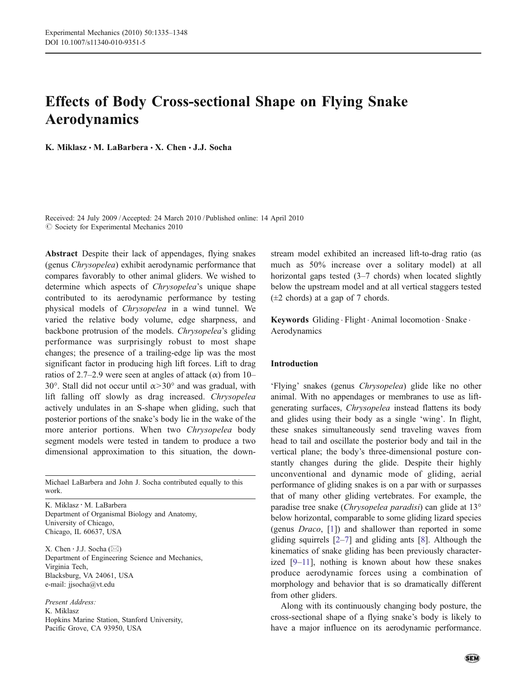# Effects of Body Cross-sectional Shape on Flying Snake Aerodynamics

K. Miklasz · M. LaBarbera · X. Chen · J.J. Socha

Received: 24 July 2009 /Accepted: 24 March 2010 / Published online: 14 April 2010  $\oslash$  Society for Experimental Mechanics 2010

Abstract Despite their lack of appendages, flying snakes (genus Chrysopelea) exhibit aerodynamic performance that compares favorably to other animal gliders. We wished to determine which aspects of Chrysopelea's unique shape contributed to its aerodynamic performance by testing physical models of Chrysopelea in a wind tunnel. We varied the relative body volume, edge sharpness, and backbone protrusion of the models. Chrysopelea's gliding performance was surprisingly robust to most shape changes; the presence of a trailing-edge lip was the most significant factor in producing high lift forces. Lift to drag ratios of 2.7–2.9 were seen at angles of attack  $(\alpha)$  from 10– 30°. Stall did not occur until  $\alpha$  > 30° and was gradual, with lift falling off slowly as drag increased. Chrysopelea actively undulates in an S-shape when gliding, such that posterior portions of the snake's body lie in the wake of the more anterior portions. When two Chrysopelea body segment models were tested in tandem to produce a two dimensional approximation to this situation, the down-

Michael LaBarbera and John J. Socha contributed equally to this work.

K. Miklasz : M. LaBarbera Department of Organismal Biology and Anatomy, University of Chicago, Chicago, IL 60637, USA

X. Chen  $\cdot$  J.J. Socha ( $\boxtimes$ ) Department of Engineering Science and Mechanics, Virginia Tech, Blacksburg, VA 24061, USA e-mail: jjsocha@vt.edu

Present Address: K. Miklasz Hopkins Marine Station, Stanford University, Pacific Grove, CA 93950, USA

stream model exhibited an increased lift-to-drag ratio (as much as 50% increase over a solitary model) at all horizontal gaps tested (3–7 chords) when located slightly below the upstream model and at all vertical staggers tested  $(\pm 2 \text{ chords})$  at a gap of 7 chords.

Keywords Gliding . Flight . Animal locomotion . Snake . Aerodynamics

## Introduction

'Flying' snakes (genus Chrysopelea) glide like no other animal. With no appendages or membranes to use as liftgenerating surfaces, Chrysopelea instead flattens its body and glides using their body as a single 'wing'. In flight, these snakes simultaneously send traveling waves from head to tail and oscillate the posterior body and tail in the vertical plane; the body's three-dimensional posture constantly changes during the glide. Despite their highly unconventional and dynamic mode of gliding, aerial performance of gliding snakes is on a par with or surpasses that of many other gliding vertebrates. For example, the paradise tree snake (Chrysopelea paradisi) can glide at 13° below horizontal, comparable to some gliding lizard species (genus Draco, [\[1](#page-12-0)]) and shallower than reported in some gliding squirrels  $[2-7]$  $[2-7]$  $[2-7]$  $[2-7]$  and gliding ants  $[8]$  $[8]$ . Although the kinematics of snake gliding has been previously characterized [\[9](#page-13-0)–[11\]](#page-13-0), nothing is known about how these snakes produce aerodynamic forces using a combination of morphology and behavior that is so dramatically different from other gliders.

Along with its continuously changing body posture, the cross-sectional shape of a flying snake's body is likely to have a major influence on its aerodynamic performance.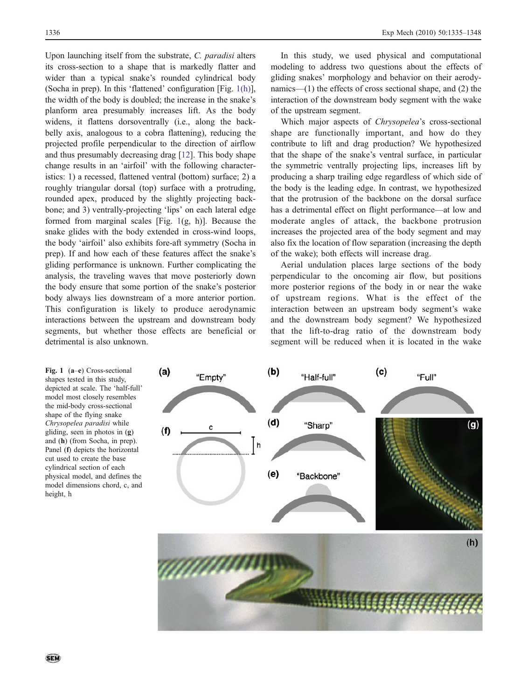<span id="page-1-0"></span>Upon launching itself from the substrate, C. paradisi alters its cross-section to a shape that is markedly flatter and wider than a typical snake's rounded cylindrical body (Socha in prep). In this 'flattened' configuration [Fig. 1(h)], the width of the body is doubled; the increase in the snake's planform area presumably increases lift. As the body widens, it flattens dorsoventrally (i.e., along the backbelly axis, analogous to a cobra flattening), reducing the projected profile perpendicular to the direction of airflow and thus presumably decreasing drag [[12\]](#page-13-0). This body shape change results in an 'airfoil' with the following characteristics: 1) a recessed, flattened ventral (bottom) surface; 2) a roughly triangular dorsal (top) surface with a protruding, rounded apex, produced by the slightly projecting backbone; and 3) ventrally-projecting 'lips' on each lateral edge formed from marginal scales [Fig.  $1(g, h)$ ]. Because the snake glides with the body extended in cross-wind loops, the body 'airfoil' also exhibits fore-aft symmetry (Socha in prep). If and how each of these features affect the snake's gliding performance is unknown. Further complicating the analysis, the traveling waves that move posteriorly down the body ensure that some portion of the snake's posterior body always lies downstream of a more anterior portion. This configuration is likely to produce aerodynamic interactions between the upstream and downstream body segments, but whether those effects are beneficial or detrimental is also unknown.

In this study, we used physical and computational modeling to address two questions about the effects of gliding snakes' morphology and behavior on their aerodynamics—(1) the effects of cross sectional shape, and (2) the interaction of the downstream body segment with the wake of the upstream segment.

Which major aspects of *Chrysopelea*'s cross-sectional shape are functionally important, and how do they contribute to lift and drag production? We hypothesized that the shape of the snake's ventral surface, in particular the symmetric ventrally projecting lips, increases lift by producing a sharp trailing edge regardless of which side of the body is the leading edge. In contrast, we hypothesized that the protrusion of the backbone on the dorsal surface has a detrimental effect on flight performance—at low and moderate angles of attack, the backbone protrusion increases the projected area of the body segment and may also fix the location of flow separation (increasing the depth of the wake); both effects will increase drag.

Aerial undulation places large sections of the body perpendicular to the oncoming air flow, but positions more posterior regions of the body in or near the wake of upstream regions. What is the effect of the interaction between an upstream body segment's wake and the downstream body segment? We hypothesized that the lift-to-drag ratio of the downstream body segment will be reduced when it is located in the wake

Fig. 1 (a–e) Cross-sectional shapes tested in this study, depicted at scale. The 'half-full' model most closely resembles the mid-body cross-sectional shape of the flying snake Chrysopelea paradisi while gliding, seen in photos in (g) and (h) (from Socha, in prep). Panel (f) depicts the horizontal cut used to create the base cylindrical section of each physical model, and defines the model dimensions chord, c, and height, h

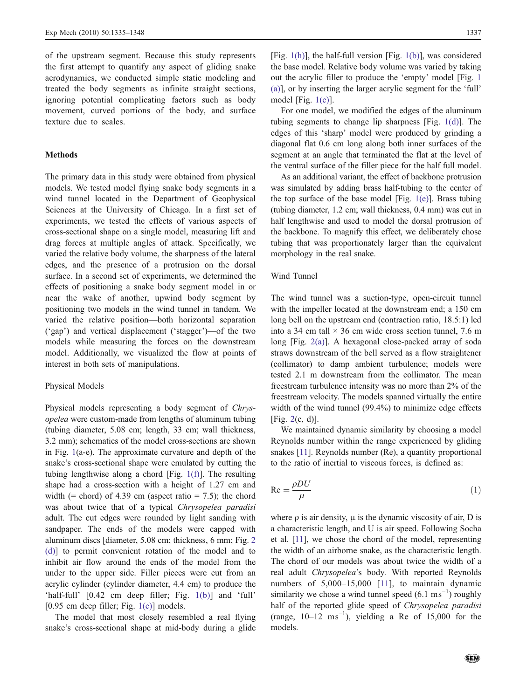of the upstream segment. Because this study represents the first attempt to quantify any aspect of gliding snake aerodynamics, we conducted simple static modeling and treated the body segments as infinite straight sections, ignoring potential complicating factors such as body movement, curved portions of the body, and surface texture due to scales.

# Methods

The primary data in this study were obtained from physical models. We tested model flying snake body segments in a wind tunnel located in the Department of Geophysical Sciences at the University of Chicago. In a first set of experiments, we tested the effects of various aspects of cross-sectional shape on a single model, measuring lift and drag forces at multiple angles of attack. Specifically, we varied the relative body volume, the sharpness of the lateral edges, and the presence of a protrusion on the dorsal surface. In a second set of experiments, we determined the effects of positioning a snake body segment model in or near the wake of another, upwind body segment by positioning two models in the wind tunnel in tandem. We varied the relative position—both horizontal separation ('gap') and vertical displacement ('stagger')—of the two models while measuring the forces on the downstream model. Additionally, we visualized the flow at points of interest in both sets of manipulations.

#### Physical Models

Physical models representing a body segment of Chrysopelea were custom-made from lengths of aluminum tubing (tubing diameter, 5.08 cm; length, 33 cm; wall thickness, 3.2 mm); schematics of the model cross-sections are shown in Fig. [1](#page-1-0)(a-e). The approximate curvature and depth of the snake's cross-sectional shape were emulated by cutting the tubing lengthwise along a chord [Fig. [1\(f\)\]](#page-1-0). The resulting shape had a cross-section with a height of 1.27 cm and width (= chord) of 4.39 cm (aspect ratio = 7.5); the chord was about twice that of a typical Chrysopelea paradisi adult. The cut edges were rounded by light sanding with sandpaper. The ends of the models were capped with aluminum discs [diameter, 5.08 cm; thickness, 6 mm; Fig. [2](#page-3-0) [\(d\)](#page-3-0)] to permit convenient rotation of the model and to inhibit air flow around the ends of the model from the under to the upper side. Filler pieces were cut from an acrylic cylinder (cylinder diameter, 4.4 cm) to produce the 'half-full' [0.42 cm deep filler; Fig. [1\(b\)\]](#page-1-0) and 'full'  $[0.95 \text{ cm}$  deep filler; Fig.  $1(c)$ ] models.

The model that most closely resembled a real flying snake's cross-sectional shape at mid-body during a glide

[Fig. [1\(h\)\]](#page-1-0), the half-full version [Fig. [1\(b\)](#page-1-0)], was considered the base model. Relative body volume was varied by taking out the acrylic filler to produce the 'empty' model [Fig. [1](#page-1-0) [\(a\)\]](#page-1-0), or by inserting the larger acrylic segment for the 'full' model [Fig. [1\(c\)](#page-1-0)].

For one model, we modified the edges of the aluminum tubing segments to change lip sharpness [Fig. [1\(d\)\]](#page-1-0). The edges of this 'sharp' model were produced by grinding a diagonal flat 0.6 cm long along both inner surfaces of the segment at an angle that terminated the flat at the level of the ventral surface of the filler piece for the half full model.

As an additional variant, the effect of backbone protrusion was simulated by adding brass half-tubing to the center of the top surface of the base model [Fig.  $1(e)$ ]. Brass tubing (tubing diameter, 1.2 cm; wall thickness, 0.4 mm) was cut in half lengthwise and used to model the dorsal protrusion of the backbone. To magnify this effect, we deliberately chose tubing that was proportionately larger than the equivalent morphology in the real snake.

## Wind Tunnel

The wind tunnel was a suction-type, open-circuit tunnel with the impeller located at the downstream end; a 150 cm long bell on the upstream end (contraction ratio, 18.5:1) led into a 34 cm tall  $\times$  36 cm wide cross section tunnel, 7.6 m long [Fig. [2\(a\)](#page-3-0)]. A hexagonal close-packed array of soda straws downstream of the bell served as a flow straightener (collimator) to damp ambient turbulence; models were tested 2.1 m downstream from the collimator. The mean freestream turbulence intensity was no more than 2% of the freestream velocity. The models spanned virtually the entire width of the wind tunnel (99.4%) to minimize edge effects [Fig. [2](#page-3-0)(c, d)].

We maintained dynamic similarity by choosing a model Reynolds number within the range experienced by gliding snakes [[11](#page-13-0)]. Reynolds number (Re), a quantity proportional to the ratio of inertial to viscous forces, is defined as:

$$
Re = \frac{\rho DU}{\mu} \tag{1}
$$

where  $\rho$  is air density,  $\mu$  is the dynamic viscosity of air, D is a characteristic length, and U is air speed. Following Socha et al. [[11](#page-13-0)], we chose the chord of the model, representing the width of an airborne snake, as the characteristic length. The chord of our models was about twice the width of a real adult Chrysopelea's body. With reported Reynolds numbers of 5,000–15,000 [[11\]](#page-13-0), to maintain dynamic similarity we chose a wind tunnel speed  $(6.1 \text{ ms}^{-1})$  roughly half of the reported glide speed of Chrysopelea paradisi (range,  $10-12$  ms<sup>-1</sup>), yielding a Re of 15,000 for the models.

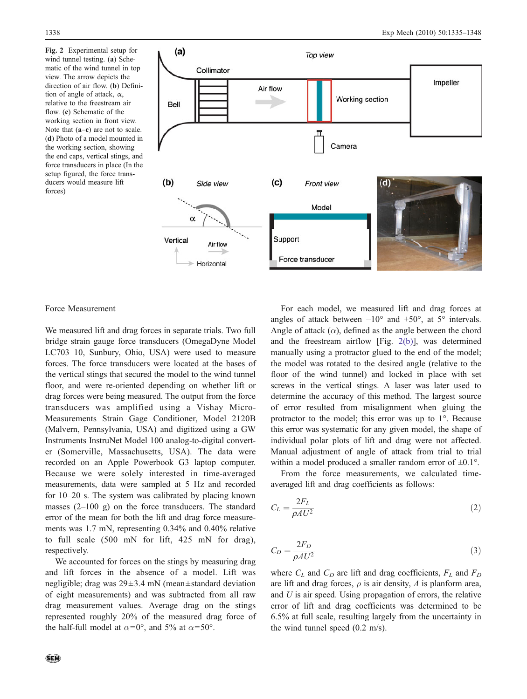<span id="page-3-0"></span>Fig. 2 Experimental setup for wind tunnel testing. (a) Schematic of the wind tunnel in top view. The arrow depicts the direction of air flow. (b) Definition of angle of attack,  $\alpha$ , relative to the freestream air flow. (c) Schematic of the working section in front view. Note that  $(a-c)$  are not to scale. (d) Photo of a model mounted in the working section, showing the end caps, vertical stings, and force transducers in place (In the setup figured, the force transducers would measure lift forces)



## Force Measurement

SEM

We measured lift and drag forces in separate trials. Two full bridge strain gauge force transducers (OmegaDyne Model LC703–10, Sunbury, Ohio, USA) were used to measure forces. The force transducers were located at the bases of the vertical stings that secured the model to the wind tunnel floor, and were re-oriented depending on whether lift or drag forces were being measured. The output from the force transducers was amplified using a Vishay Micro-Measurements Strain Gage Conditioner, Model 2120B (Malvern, Pennsylvania, USA) and digitized using a GW Instruments InstruNet Model 100 analog-to-digital converter (Somerville, Massachusetts, USA). The data were recorded on an Apple Powerbook G3 laptop computer. Because we were solely interested in time-averaged measurements, data were sampled at 5 Hz and recorded for 10–20 s. The system was calibrated by placing known masses (2–100 g) on the force transducers. The standard error of the mean for both the lift and drag force measurements was 1.7 mN, representing 0.34% and 0.40% relative to full scale (500 mN for lift, 425 mN for drag), respectively.

We accounted for forces on the stings by measuring drag and lift forces in the absence of a model. Lift was negligible; drag was 29±3.4 mN (mean±standard deviation of eight measurements) and was subtracted from all raw drag measurement values. Average drag on the stings represented roughly 20% of the measured drag force of the half-full model at  $\alpha = 0^\circ$ , and 5% at  $\alpha = 50^\circ$ .

For each model, we measured lift and drag forces at angles of attack between  $-10^{\circ}$  and  $+50^{\circ}$ , at  $5^{\circ}$  intervals. Angle of attack  $(\alpha)$ , defined as the angle between the chord and the freestream airflow [Fig. 2(b)], was determined manually using a protractor glued to the end of the model; the model was rotated to the desired angle (relative to the floor of the wind tunnel) and locked in place with set screws in the vertical stings. A laser was later used to determine the accuracy of this method. The largest source of error resulted from misalignment when gluing the protractor to the model; this error was up to 1°. Because this error was systematic for any given model, the shape of individual polar plots of lift and drag were not affected. Manual adjustment of angle of attack from trial to trial within a model produced a smaller random error of  $\pm 0.1^{\circ}$ .

From the force measurements, we calculated timeaveraged lift and drag coefficients as follows:

$$
C_L = \frac{2F_L}{\rho A U^2} \tag{2}
$$

$$
C_D = \frac{2F_D}{\rho A U^2} \tag{3}
$$

where  $C_L$  and  $C_D$  are lift and drag coefficients,  $F_L$  and  $F_D$ are lift and drag forces,  $\rho$  is air density, A is planform area, and  $U$  is air speed. Using propagation of errors, the relative error of lift and drag coefficients was determined to be 6.5% at full scale, resulting largely from the uncertainty in the wind tunnel speed (0.2 m/s).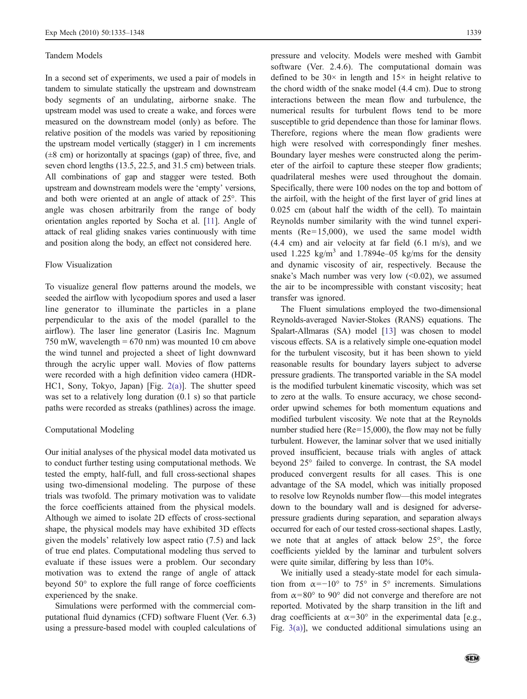#### Tandem Models

In a second set of experiments, we used a pair of models in tandem to simulate statically the upstream and downstream body segments of an undulating, airborne snake. The upstream model was used to create a wake, and forces were measured on the downstream model (only) as before. The relative position of the models was varied by repositioning the upstream model vertically (stagger) in 1 cm increments  $(\pm 8 \text{ cm})$  or horizontally at spacings (gap) of three, five, and seven chord lengths (13.5, 22.5, and 31.5 cm) between trials. All combinations of gap and stagger were tested. Both upstream and downstream models were the 'empty' versions, and both were oriented at an angle of attack of 25°. This angle was chosen arbitrarily from the range of body orientation angles reported by Socha et al. [\[11\]](#page-13-0). Angle of attack of real gliding snakes varies continuously with time and position along the body, an effect not considered here.

### Flow Visualization

To visualize general flow patterns around the models, we seeded the airflow with lycopodium spores and used a laser line generator to illuminate the particles in a plane perpendicular to the axis of the model (parallel to the airflow). The laser line generator (Lasiris Inc. Magnum 750 mW, wavelength = 670 nm) was mounted 10 cm above the wind tunnel and projected a sheet of light downward through the acrylic upper wall. Movies of flow patterns were recorded with a high definition video camera (HDR-HC1, Sony, Tokyo, Japan) [Fig. [2\(a\)](#page-3-0)]. The shutter speed was set to a relatively long duration (0.1 s) so that particle paths were recorded as streaks (pathlines) across the image.

#### Computational Modeling

Our initial analyses of the physical model data motivated us to conduct further testing using computational methods. We tested the empty, half-full, and full cross-sectional shapes using two-dimensional modeling. The purpose of these trials was twofold. The primary motivation was to validate the force coefficients attained from the physical models. Although we aimed to isolate 2D effects of cross-sectional shape, the physical models may have exhibited 3D effects given the models' relatively low aspect ratio (7.5) and lack of true end plates. Computational modeling thus served to evaluate if these issues were a problem. Our secondary motivation was to extend the range of angle of attack beyond 50° to explore the full range of force coefficients experienced by the snake.

Simulations were performed with the commercial computational fluid dynamics (CFD) software Fluent (Ver. 6.3) using a pressure-based model with coupled calculations of pressure and velocity. Models were meshed with Gambit software (Ver. 2.4.6). The computational domain was defined to be  $30\times$  in length and  $15\times$  in height relative to the chord width of the snake model (4.4 cm). Due to strong interactions between the mean flow and turbulence, the numerical results for turbulent flows tend to be more susceptible to grid dependence than those for laminar flows. Therefore, regions where the mean flow gradients were high were resolved with correspondingly finer meshes. Boundary layer meshes were constructed along the perimeter of the airfoil to capture these steeper flow gradients; quadrilateral meshes were used throughout the domain. Specifically, there were 100 nodes on the top and bottom of the airfoil, with the height of the first layer of grid lines at 0.025 cm (about half the width of the cell). To maintain Reynolds number similarity with the wind tunnel experiments (Re=15,000), we used the same model width (4.4 cm) and air velocity at far field (6.1 m/s), and we used 1.225 kg/m<sup>3</sup> and 1.7894e–05 kg/ms for the density and dynamic viscosity of air, respectively. Because the snake's Mach number was very low  $( $0.02$ ), we assumed$ the air to be incompressible with constant viscosity; heat transfer was ignored.

The Fluent simulations employed the two-dimensional Reynolds-averaged Navier-Stokes (RANS) equations. The Spalart-Allmaras (SA) model [[13\]](#page-13-0) was chosen to model viscous effects. SA is a relatively simple one-equation model for the turbulent viscosity, but it has been shown to yield reasonable results for boundary layers subject to adverse pressure gradients. The transported variable in the SA model is the modified turbulent kinematic viscosity, which was set to zero at the walls. To ensure accuracy, we chose secondorder upwind schemes for both momentum equations and modified turbulent viscosity. We note that at the Reynolds number studied here (Re=15,000), the flow may not be fully turbulent. However, the laminar solver that we used initially proved insufficient, because trials with angles of attack beyond 25° failed to converge. In contrast, the SA model produced convergent results for all cases. This is one advantage of the SA model, which was initially proposed to resolve low Reynolds number flow—this model integrates down to the boundary wall and is designed for adversepressure gradients during separation, and separation always occurred for each of our tested cross-sectional shapes. Lastly, we note that at angles of attack below 25°, the force coefficients yielded by the laminar and turbulent solvers were quite similar, differing by less than 10%.

We initially used a steady-state model for each simulation from  $\alpha = -10^{\circ}$  to 75° in 5° increments. Simulations from  $\alpha = 80^\circ$  to 90° did not converge and therefore are not reported. Motivated by the sharp transition in the lift and drag coefficients at  $\alpha = 30^{\circ}$  in the experimental data [e.g., Fig.  $3(a)$ ], we conducted additional simulations using an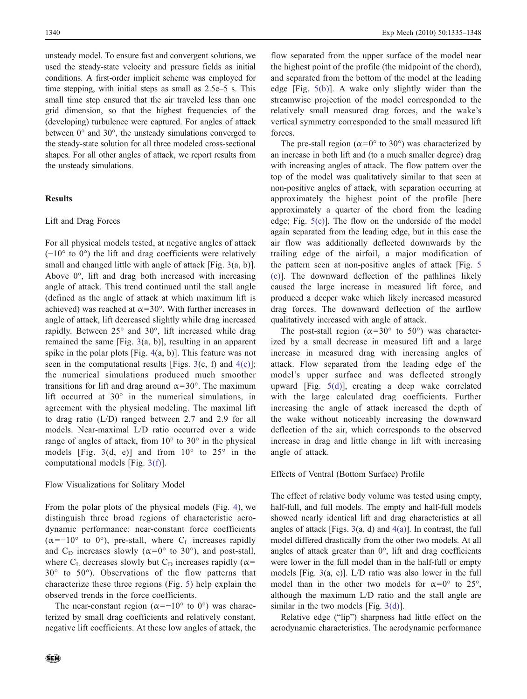unsteady model. To ensure fast and convergent solutions, we used the steady-state velocity and pressure fields as initial conditions. A first-order implicit scheme was employed for time stepping, with initial steps as small as 2.5e–5 s. This small time step ensured that the air traveled less than one grid dimension, so that the highest frequencies of the (developing) turbulence were captured. For angles of attack between 0° and 30°, the unsteady simulations converged to the steady-state solution for all three modeled cross-sectional shapes. For all other angles of attack, we report results from the unsteady simulations.

# Results

## Lift and Drag Forces

For all physical models tested, at negative angles of attack (−10° to 0°) the lift and drag coefficients were relatively small and changed little with angle of attack [Fig. [3\(](#page-6-0)a, b)]. Above  $0^{\circ}$ , lift and drag both increased with increasing angle of attack. This trend continued until the stall angle (defined as the angle of attack at which maximum lift is achieved) was reached at  $\alpha = 30^{\circ}$ . With further increases in angle of attack, lift decreased slightly while drag increased rapidly. Between 25° and 30°, lift increased while drag remained the same [Fig. [3\(](#page-6-0)a, b)], resulting in an apparent spike in the polar plots [Fig. [4](#page-7-0)(a, b)]. This feature was not seen in the computational results [Figs.  $3(c, f)$  $3(c, f)$  and  $4(c)$ ]; the numerical simulations produced much smoother transitions for lift and drag around  $\alpha = 30^{\circ}$ . The maximum lift occurred at 30° in the numerical simulations, in agreement with the physical modeling. The maximal lift to drag ratio (L/D) ranged between 2.7 and 2.9 for all models. Near-maximal L/D ratio occurred over a wide range of angles of attack, from  $10^{\circ}$  to  $30^{\circ}$  in the physical models [Fig. [3\(](#page-6-0)d, e)] and from  $10^{\circ}$  to  $25^{\circ}$  in the computational models [Fig. [3\(f\)](#page-6-0)].

#### Flow Visualizations for Solitary Model

From the polar plots of the physical models (Fig. [4\)](#page-7-0), we distinguish three broad regions of characteristic aerodynamic performance: near-constant force coefficients  $(\alpha=-10^{\circ}$  to 0°), pre-stall, where C<sub>L</sub> increases rapidly and C<sub>D</sub> increases slowly ( $\alpha=0^{\circ}$  to 30°), and post-stall, where  $C_{L}$  decreases slowly but  $C_{D}$  increases rapidly ( $\alpha=$ 30° to 50°). Observations of the flow patterns that characterize these three regions (Fig. [5\)](#page-8-0) help explain the observed trends in the force coefficients.

The near-constant region ( $\alpha = -10^{\circ}$  to 0°) was characterized by small drag coefficients and relatively constant, negative lift coefficients. At these low angles of attack, the

flow separated from the upper surface of the model near the highest point of the profile (the midpoint of the chord), and separated from the bottom of the model at the leading edge [Fig. [5\(b\)](#page-8-0)]. A wake only slightly wider than the streamwise projection of the model corresponded to the relatively small measured drag forces, and the wake's vertical symmetry corresponded to the small measured lift forces.

The pre-stall region ( $\alpha$ =0° to 30°) was characterized by an increase in both lift and (to a much smaller degree) drag with increasing angles of attack. The flow pattern over the top of the model was qualitatively similar to that seen at non-positive angles of attack, with separation occurring at approximately the highest point of the profile [here approximately a quarter of the chord from the leading edge; Fig. [5\(c\)](#page-8-0)]. The flow on the underside of the model again separated from the leading edge, but in this case the air flow was additionally deflected downwards by the trailing edge of the airfoil, a major modification of the pattern seen at non-positive angles of attack [Fig. [5](#page-8-0) [\(c\)](#page-8-0)]. The downward deflection of the pathlines likely caused the large increase in measured lift force, and produced a deeper wake which likely increased measured drag forces. The downward deflection of the airflow qualitatively increased with angle of attack.

The post-stall region ( $\alpha$ =30° to 50°) was characterized by a small decrease in measured lift and a large increase in measured drag with increasing angles of attack. Flow separated from the leading edge of the model's upper surface and was deflected strongly upward [Fig. [5\(d\)\]](#page-8-0), creating a deep wake correlated with the large calculated drag coefficients. Further increasing the angle of attack increased the depth of the wake without noticeably increasing the downward deflection of the air, which corresponds to the observed increase in drag and little change in lift with increasing angle of attack.

## Effects of Ventral (Bottom Surface) Profile

The effect of relative body volume was tested using empty, half-full, and full models. The empty and half-full models showed nearly identical lift and drag characteristics at all angles of attack [Figs.  $3(a, d)$  $3(a, d)$  and  $4(a)$ ]. In contrast, the full model differed drastically from the other two models. At all angles of attack greater than 0°, lift and drag coefficients were lower in the full model than in the half-full or empty models [Fig. [3](#page-6-0)(a, c)]. L/D ratio was also lower in the full model than in the other two models for  $\alpha=0^{\circ}$  to 25°, although the maximum L/D ratio and the stall angle are similar in the two models [Fig. [3\(d\)\]](#page-6-0).

Relative edge ("lip") sharpness had little effect on the aerodynamic characteristics. The aerodynamic performance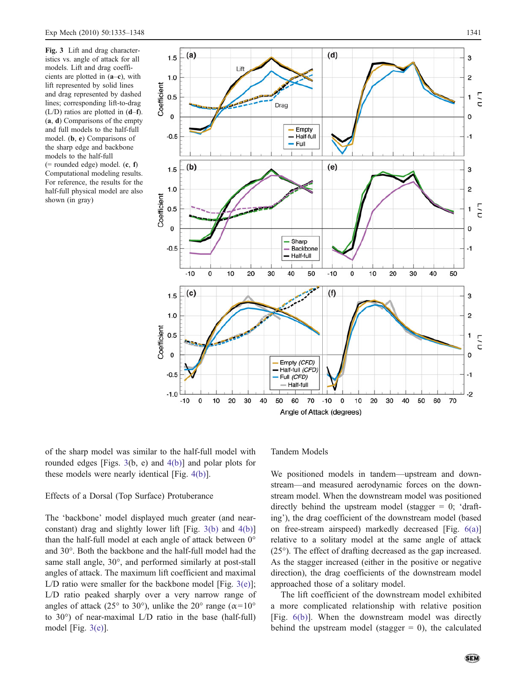Fig. 3 Lift and drag characteristics vs. angle of attack for all models. Lift and drag coefficients are plotted in  $(a-c)$ , with lift represented by solid lines and drag represented by dashed lines; corresponding lift-to-drag (L/D) ratios are plotted in (d–f). (a, d) Comparisons of the empty and full models to the half-full model. (b, e) Comparisons of the sharp edge and backbone models to the half-full  $(=$  rounded edge) model.  $(c, f)$ Computational modeling results. For reference, the results for the half-full physical model are also shown (in gray)

<span id="page-6-0"></span>

of the sharp model was similar to the half-full model with rounded edges [Figs. 3(b, e) and [4\(b\)\]](#page-7-0) and polar plots for these models were nearly identical [Fig. [4\(b\)\]](#page-7-0).

### Effects of a Dorsal (Top Surface) Protuberance

The 'backbone' model displayed much greater (and nearconstant) drag and slightly lower lift [Fig. 3(b) and [4\(b\)\]](#page-7-0) than the half-full model at each angle of attack between 0° and 30°. Both the backbone and the half-full model had the same stall angle, 30°, and performed similarly at post-stall angles of attack. The maximum lift coefficient and maximal L/D ratio were smaller for the backbone model [Fig.  $3(e)$ ]; L/D ratio peaked sharply over a very narrow range of angles of attack (25° to 30°), unlike the 20° range ( $\alpha$ =10° to 30°) of near-maximal L/D ratio in the base (half-full) model [Fig. 3(e)].

#### Tandem Models

We positioned models in tandem—upstream and downstream—and measured aerodynamic forces on the downstream model. When the downstream model was positioned directly behind the upstream model (stagger  $= 0$ ; 'drafting'), the drag coefficient of the downstream model (based on free-stream airspeed) markedly decreased [Fig. [6\(a\)](#page-9-0)] relative to a solitary model at the same angle of attack (25°). The effect of drafting decreased as the gap increased. As the stagger increased (either in the positive or negative direction), the drag coefficients of the downstream model approached those of a solitary model.

The lift coefficient of the downstream model exhibited a more complicated relationship with relative position [Fig. [6\(b\)\]](#page-9-0). When the downstream model was directly behind the upstream model (stagger  $= 0$ ), the calculated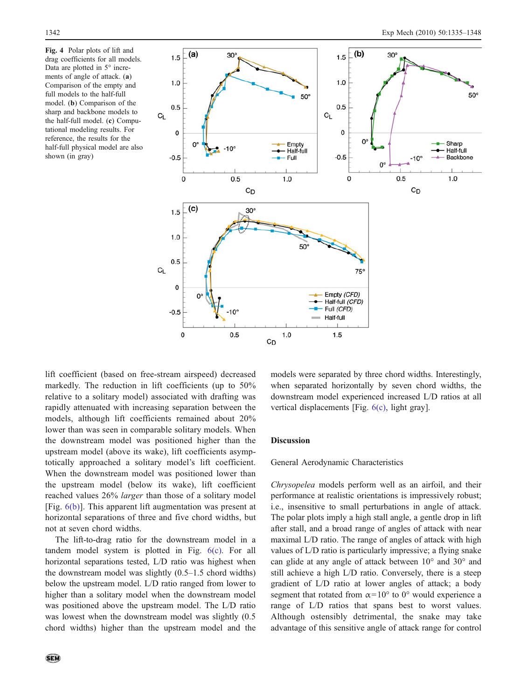<span id="page-7-0"></span>Fig. 4 Polar plots of lift and drag coefficients for all models. Data are plotted in 5° increments of angle of attack. (a) Comparison of the empty and full models to the half-full model. (b) Comparison of the sharp and backbone models to the half-full model. (c) Computational modeling results. For reference, the results for the half-full physical model are also shown (in gray)



lift coefficient (based on free-stream airspeed) decreased markedly. The reduction in lift coefficients (up to 50% relative to a solitary model) associated with drafting was rapidly attenuated with increasing separation between the models, although lift coefficients remained about 20% lower than was seen in comparable solitary models. When the downstream model was positioned higher than the upstream model (above its wake), lift coefficients asymptotically approached a solitary model's lift coefficient. When the downstream model was positioned lower than the upstream model (below its wake), lift coefficient reached values 26% larger than those of a solitary model [Fig. [6\(b\)](#page-9-0)]. This apparent lift augmentation was present at horizontal separations of three and five chord widths, but not at seven chord widths.

The lift-to-drag ratio for the downstream model in a tandem model system is plotted in Fig. [6\(c\)](#page-9-0). For all horizontal separations tested, L/D ratio was highest when the downstream model was slightly (0.5–1.5 chord widths) below the upstream model. L/D ratio ranged from lower to higher than a solitary model when the downstream model was positioned above the upstream model. The L/D ratio was lowest when the downstream model was slightly (0.5 chord widths) higher than the upstream model and the

models were separated by three chord widths. Interestingly, when separated horizontally by seven chord widths, the downstream model experienced increased L/D ratios at all vertical displacements [Fig. [6\(c\)](#page-9-0), light gray].

# Discussion

## General Aerodynamic Characteristics

Chrysopelea models perform well as an airfoil, and their performance at realistic orientations is impressively robust; i.e., insensitive to small perturbations in angle of attack. The polar plots imply a high stall angle, a gentle drop in lift after stall, and a broad range of angles of attack with near maximal L/D ratio. The range of angles of attack with high values of L/D ratio is particularly impressive; a flying snake can glide at any angle of attack between 10° and 30° and still achieve a high L/D ratio. Conversely, there is a steep gradient of L/D ratio at lower angles of attack; a body segment that rotated from  $\alpha = 10^{\circ}$  to 0° would experience a range of L/D ratios that spans best to worst values. Although ostensibly detrimental, the snake may take advantage of this sensitive angle of attack range for control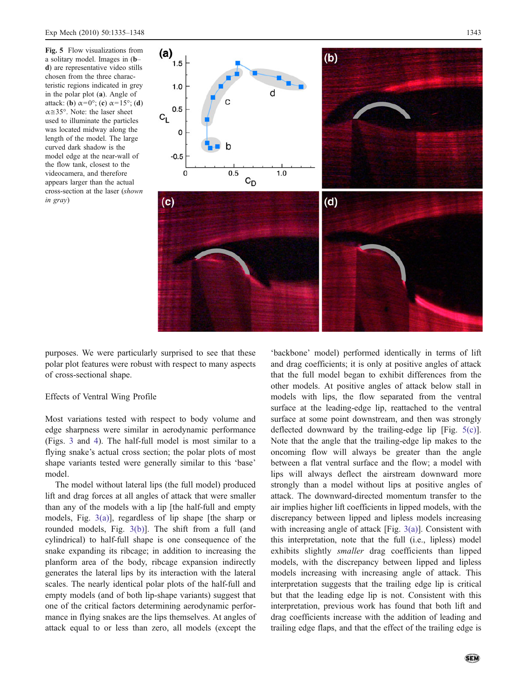<span id="page-8-0"></span>Fig. 5 Flow visualizations from a solitary model. Images in (b– d) are representative video stills chosen from the three characteristic regions indicated in grey in the polar plot (a). Angle of attack: (b)  $\alpha=0^\circ$ ; (c)  $\alpha=15^\circ$ ; (d)  $\alpha \approx 35^{\circ}$ . Note: the laser sheet used to illuminate the particles was located midway along the length of the model. The large curved dark shadow is the model edge at the near-wall of the flow tank, closest to the videocamera, and therefore appears larger than the actual cross-section at the laser (shown in gray)



purposes. We were particularly surprised to see that these polar plot features were robust with respect to many aspects of cross-sectional shape.

## Effects of Ventral Wing Profile

Most variations tested with respect to body volume and edge sharpness were similar in aerodynamic performance (Figs. [3](#page-6-0) and [4](#page-7-0)). The half-full model is most similar to a flying snake's actual cross section; the polar plots of most shape variants tested were generally similar to this 'base' model.

The model without lateral lips (the full model) produced lift and drag forces at all angles of attack that were smaller than any of the models with a lip [the half-full and empty models, Fig. [3\(a\)](#page-6-0)], regardless of lip shape [the sharp or rounded models, Fig. [3\(b\)](#page-6-0)]. The shift from a full (and cylindrical) to half-full shape is one consequence of the snake expanding its ribcage; in addition to increasing the planform area of the body, ribcage expansion indirectly generates the lateral lips by its interaction with the lateral scales. The nearly identical polar plots of the half-full and empty models (and of both lip-shape variants) suggest that one of the critical factors determining aerodynamic performance in flying snakes are the lips themselves. At angles of attack equal to or less than zero, all models (except the

'backbone' model) performed identically in terms of lift and drag coefficients; it is only at positive angles of attack that the full model began to exhibit differences from the other models. At positive angles of attack below stall in models with lips, the flow separated from the ventral surface at the leading-edge lip, reattached to the ventral surface at some point downstream, and then was strongly deflected downward by the trailing-edge lip [Fig. 5(c)]. Note that the angle that the trailing-edge lip makes to the oncoming flow will always be greater than the angle between a flat ventral surface and the flow; a model with lips will always deflect the airstream downward more strongly than a model without lips at positive angles of attack. The downward-directed momentum transfer to the air implies higher lift coefficients in lipped models, with the discrepancy between lipped and lipless models increasing with increasing angle of attack [Fig. [3\(a\)](#page-6-0)]. Consistent with this interpretation, note that the full (i.e., lipless) model exhibits slightly smaller drag coefficients than lipped models, with the discrepancy between lipped and lipless models increasing with increasing angle of attack. This interpretation suggests that the trailing edge lip is critical but that the leading edge lip is not. Consistent with this interpretation, previous work has found that both lift and drag coefficients increase with the addition of leading and trailing edge flaps, and that the effect of the trailing edge is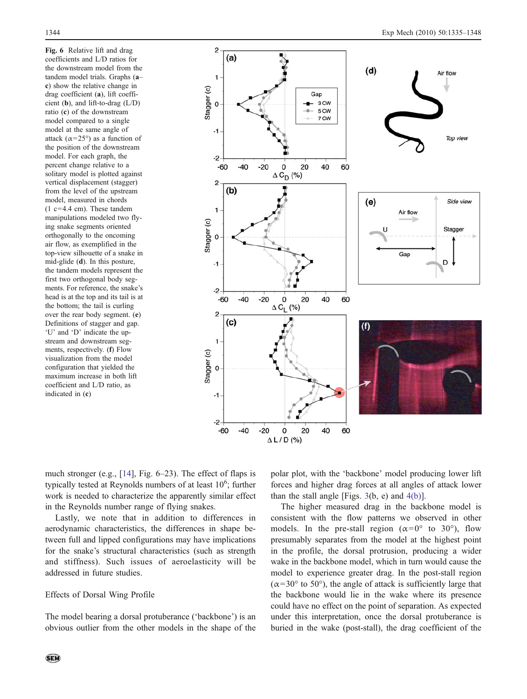<span id="page-9-0"></span>Fig. 6 Relative lift and drag coefficients and L/D ratios for the downstream model from the tandem model trials. Graphs (a– c) show the relative change in drag coefficient (a), lift coefficient (b), and lift-to-drag (L/D) ratio (c) of the downstream model compared to a single model at the same angle of attack ( $\alpha$ =25°) as a function of the position of the downstream model. For each graph, the percent change relative to a solitary model is plotted against vertical displacement (stagger) from the level of the upstream model, measured in chords  $(1$  c=4.4 cm). These tandem manipulations modeled two flying snake segments oriented orthogonally to the oncoming air flow, as exemplified in the top-view silhouette of a snake in mid-glide (d). In this posture, the tandem models represent the first two orthogonal body segments. For reference, the snake's head is at the top and its tail is at the bottom; the tail is curling over the rear body segment. (e) Definitions of stagger and gap. 'U' and 'D' indicate the upstream and downstream segments, respectively. (f) Flow visualization from the model configuration that yielded the maximum increase in both lift coefficient and L/D ratio, as indicated in (c)



much stronger (e.g., [\[14](#page-13-0)], Fig. 6–23). The effect of flaps is typically tested at Reynolds numbers of at least  $10^6$ ; further work is needed to characterize the apparently similar effect in the Reynolds number range of flying snakes.

Lastly, we note that in addition to differences in aerodynamic characteristics, the differences in shape between full and lipped configurations may have implications for the snake's structural characteristics (such as strength and stiffness). Such issues of aeroelasticity will be addressed in future studies.

# Effects of Dorsal Wing Profile

The model bearing a dorsal protuberance ('backbone') is an obvious outlier from the other models in the shape of the polar plot, with the 'backbone' model producing lower lift forces and higher drag forces at all angles of attack lower than the stall angle [Figs.  $3(b, e)$  $3(b, e)$  and  $4(b)$ ].

The higher measured drag in the backbone model is consistent with the flow patterns we observed in other models. In the pre-stall region ( $\alpha=0^{\circ}$  to 30°), flow presumably separates from the model at the highest point in the profile, the dorsal protrusion, producing a wider wake in the backbone model, which in turn would cause the model to experience greater drag. In the post-stall region  $(\alpha=30^{\circ}$  to 50°), the angle of attack is sufficiently large that the backbone would lie in the wake where its presence could have no effect on the point of separation. As expected under this interpretation, once the dorsal protuberance is buried in the wake (post-stall), the drag coefficient of the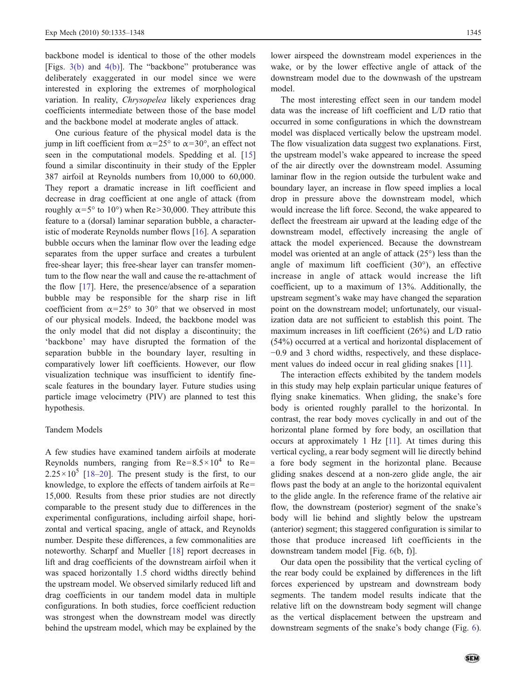backbone model is identical to those of the other models [Figs. [3\(b\)](#page-6-0) and [4\(b\)](#page-7-0)]. The "backbone" protuberance was deliberately exaggerated in our model since we were interested in exploring the extremes of morphological variation. In reality, Chrysopelea likely experiences drag coefficients intermediate between those of the base model and the backbone model at moderate angles of attack.

One curious feature of the physical model data is the jump in lift coefficient from  $\alpha = 25^{\circ}$  to  $\alpha = 30^{\circ}$ , an effect not seen in the computational models. Spedding et al. [[15\]](#page-13-0) found a similar discontinuity in their study of the Eppler 387 airfoil at Reynolds numbers from 10,000 to 60,000. They report a dramatic increase in lift coefficient and decrease in drag coefficient at one angle of attack (from roughly  $\alpha = 5^{\circ}$  to 10°) when Re>30,000. They attribute this feature to a (dorsal) laminar separation bubble, a characteristic of moderate Reynolds number flows [[16\]](#page-13-0). A separation bubble occurs when the laminar flow over the leading edge separates from the upper surface and creates a turbulent free-shear layer; this free-shear layer can transfer momentum to the flow near the wall and cause the re-attachment of the flow [[17\]](#page-13-0). Here, the presence/absence of a separation bubble may be responsible for the sharp rise in lift coefficient from  $\alpha = 25^{\circ}$  to 30° that we observed in most of our physical models. Indeed, the backbone model was the only model that did not display a discontinuity; the 'backbone' may have disrupted the formation of the separation bubble in the boundary layer, resulting in comparatively lower lift coefficients. However, our flow visualization technique was insufficient to identify finescale features in the boundary layer. Future studies using particle image velocimetry (PIV) are planned to test this hypothesis.

# Tandem Models

A few studies have examined tandem airfoils at moderate Reynolds numbers, ranging from  $Re=8.5\times10^4$  to  $Re=$  $2.25 \times 10^5$  [\[18](#page-13-0)–[20](#page-13-0)]. The present study is the first, to our knowledge, to explore the effects of tandem airfoils at Re= 15,000. Results from these prior studies are not directly comparable to the present study due to differences in the experimental configurations, including airfoil shape, horizontal and vertical spacing, angle of attack, and Reynolds number. Despite these differences, a few commonalities are noteworthy. Scharpf and Mueller [\[18](#page-13-0)] report decreases in lift and drag coefficients of the downstream airfoil when it was spaced horizontally 1.5 chord widths directly behind the upstream model. We observed similarly reduced lift and drag coefficients in our tandem model data in multiple configurations. In both studies, force coefficient reduction was strongest when the downstream model was directly behind the upstream model, which may be explained by the

lower airspeed the downstream model experiences in the wake, or by the lower effective angle of attack of the downstream model due to the downwash of the upstream model.

The most interesting effect seen in our tandem model data was the increase of lift coefficient and L/D ratio that occurred in some configurations in which the downstream model was displaced vertically below the upstream model. The flow visualization data suggest two explanations. First, the upstream model's wake appeared to increase the speed of the air directly over the downstream model. Assuming laminar flow in the region outside the turbulent wake and boundary layer, an increase in flow speed implies a local drop in pressure above the downstream model, which would increase the lift force. Second, the wake appeared to deflect the freestream air upward at the leading edge of the downstream model, effectively increasing the angle of attack the model experienced. Because the downstream model was oriented at an angle of attack (25°) less than the angle of maximum lift coefficient (30°), an effective increase in angle of attack would increase the lift coefficient, up to a maximum of 13%. Additionally, the upstream segment's wake may have changed the separation point on the downstream model; unfortunately, our visualization data are not sufficient to establish this point. The maximum increases in lift coefficient (26%) and L/D ratio (54%) occurred at a vertical and horizontal displacement of −0.9 and 3 chord widths, respectively, and these displacement values do indeed occur in real gliding snakes [\[11\]](#page-13-0).

The interaction effects exhibited by the tandem models in this study may help explain particular unique features of flying snake kinematics. When gliding, the snake's fore body is oriented roughly parallel to the horizontal. In contrast, the rear body moves cyclically in and out of the horizontal plane formed by fore body, an oscillation that occurs at approximately 1 Hz [\[11\]](#page-13-0). At times during this vertical cycling, a rear body segment will lie directly behind a fore body segment in the horizontal plane. Because gliding snakes descend at a non-zero glide angle, the air flows past the body at an angle to the horizontal equivalent to the glide angle. In the reference frame of the relative air flow, the downstream (posterior) segment of the snake's body will lie behind and slightly below the upstream (anterior) segment; this staggered configuration is similar to those that produce increased lift coefficients in the downstream tandem model [Fig. [6](#page-9-0)(b, f)].

Our data open the possibility that the vertical cycling of the rear body could be explained by differences in the lift forces experienced by upstream and downstream body segments. The tandem model results indicate that the relative lift on the downstream body segment will change as the vertical displacement between the upstream and downstream segments of the snake's body change (Fig. [6\)](#page-9-0).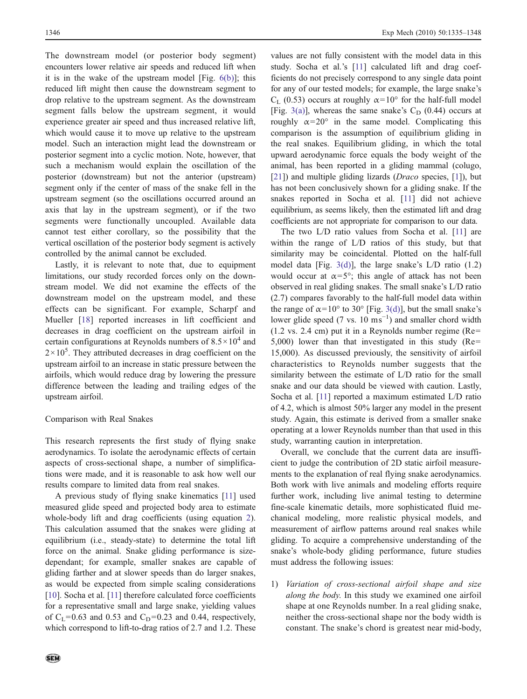The downstream model (or posterior body segment) encounters lower relative air speeds and reduced lift when it is in the wake of the upstream model [Fig. [6\(b\)\]](#page-9-0); this reduced lift might then cause the downstream segment to drop relative to the upstream segment. As the downstream segment falls below the upstream segment, it would experience greater air speed and thus increased relative lift, which would cause it to move up relative to the upstream model. Such an interaction might lead the downstream or posterior segment into a cyclic motion. Note, however, that such a mechanism would explain the oscillation of the posterior (downstream) but not the anterior (upstream) segment only if the center of mass of the snake fell in the upstream segment (so the oscillations occurred around an axis that lay in the upstream segment), or if the two segments were functionally uncoupled. Available data cannot test either corollary, so the possibility that the vertical oscillation of the posterior body segment is actively controlled by the animal cannot be excluded.

Lastly, it is relevant to note that, due to equipment limitations, our study recorded forces only on the downstream model. We did not examine the effects of the downstream model on the upstream model, and these effects can be significant. For example, Scharpf and Mueller [\[18](#page-13-0)] reported increases in lift coefficient and decreases in drag coefficient on the upstream airfoil in certain configurations at Reynolds numbers of  $8.5 \times 10^4$  and  $2 \times 10^5$ . They attributed decreases in drag coefficient on the upstream airfoil to an increase in static pressure between the airfoils, which would reduce drag by lowering the pressure difference between the leading and trailing edges of the upstream airfoil.

#### Comparison with Real Snakes

This research represents the first study of flying snake aerodynamics. To isolate the aerodynamic effects of certain aspects of cross-sectional shape, a number of simplifications were made, and it is reasonable to ask how well our results compare to limited data from real snakes.

A previous study of flying snake kinematics [[11\]](#page-13-0) used measured glide speed and projected body area to estimate whole-body lift and drag coefficients (using equation [2](#page-3-0)). This calculation assumed that the snakes were gliding at equilibrium (i.e., steady-state) to determine the total lift force on the animal. Snake gliding performance is sizedependant; for example, smaller snakes are capable of gliding farther and at slower speeds than do larger snakes, as would be expected from simple scaling considerations [\[10](#page-13-0)]. Socha et al. [\[11](#page-13-0)] therefore calculated force coefficients for a representative small and large snake, yielding values of  $C_L$ =0.63 and 0.53 and  $C_D$ =0.23 and 0.44, respectively, which correspond to lift-to-drag ratios of 2.7 and 1.2. These

values are not fully consistent with the model data in this study. Socha et al.'s [\[11](#page-13-0)] calculated lift and drag coefficients do not precisely correspond to any single data point for any of our tested models; for example, the large snake's C<sub>L</sub> (0.53) occurs at roughly  $\alpha=10^{\circ}$  for the half-full model [Fig. [3\(a\)\]](#page-6-0), whereas the same snake's  $C_D$  (0.44) occurs at roughly  $\alpha = 20^{\circ}$  in the same model. Complicating this comparison is the assumption of equilibrium gliding in the real snakes. Equilibrium gliding, in which the total upward aerodynamic force equals the body weight of the animal, has been reported in a gliding mammal (colugo, [\[21](#page-13-0)]) and multiple gliding lizards (*Draco* species, [\[1](#page-12-0)]), but has not been conclusively shown for a gliding snake. If the snakes reported in Socha et al. [\[11\]](#page-13-0) did not achieve equilibrium, as seems likely, then the estimated lift and drag coefficients are not appropriate for comparison to our data.

The two L/D ratio values from Socha et al. [\[11](#page-13-0)] are within the range of L/D ratios of this study, but that similarity may be coincidental. Plotted on the half-full model data [Fig. [3\(d\)\]](#page-6-0), the large snake's L/D ratio (1.2) would occur at  $\alpha = 5^{\circ}$ ; this angle of attack has not been observed in real gliding snakes. The small snake's L/D ratio (2.7) compares favorably to the half-full model data within the range of  $\alpha = 10^{\circ}$  to 30° [Fig. [3\(d\)](#page-6-0)], but the small snake's lower glide speed (7 vs. 10 ms<sup>-1</sup>) and smaller chord width (1.2 vs. 2.4 cm) put it in a Reynolds number regime (Re= 5,000) lower than that investigated in this study (Re= 15,000). As discussed previously, the sensitivity of airfoil characteristics to Reynolds number suggests that the similarity between the estimate of L/D ratio for the small snake and our data should be viewed with caution. Lastly, Socha et al. [[11\]](#page-13-0) reported a maximum estimated L/D ratio of 4.2, which is almost 50% larger any model in the present study. Again, this estimate is derived from a smaller snake operating at a lower Reynolds number than that used in this study, warranting caution in interpretation.

Overall, we conclude that the current data are insufficient to judge the contribution of 2D static airfoil measurements to the explanation of real flying snake aerodynamics. Both work with live animals and modeling efforts require further work, including live animal testing to determine fine-scale kinematic details, more sophisticated fluid mechanical modeling, more realistic physical models, and measurement of airflow patterns around real snakes while gliding. To acquire a comprehensive understanding of the snake's whole-body gliding performance, future studies must address the following issues:

1) Variation of cross-sectional airfoil shape and size along the body. In this study we examined one airfoil shape at one Reynolds number. In a real gliding snake, neither the cross-sectional shape nor the body width is constant. The snake's chord is greatest near mid-body,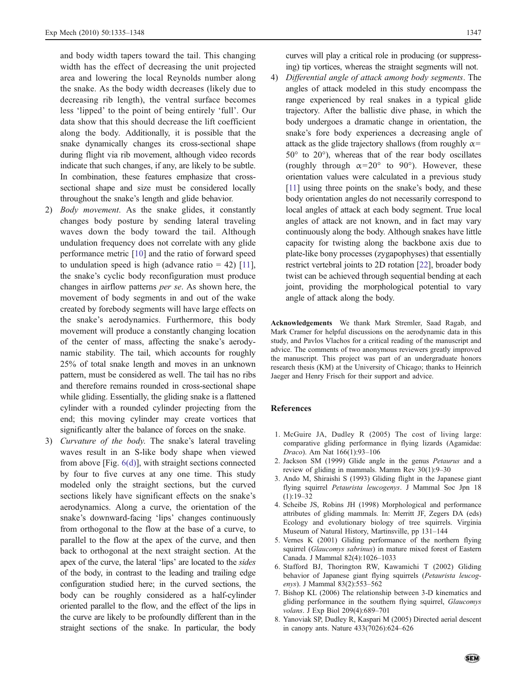<span id="page-12-0"></span>and body width tapers toward the tail. This changing width has the effect of decreasing the unit projected area and lowering the local Reynolds number along the snake. As the body width decreases (likely due to decreasing rib length), the ventral surface becomes less 'lipped' to the point of being entirely 'full'. Our data show that this should decrease the lift coefficient along the body. Additionally, it is possible that the snake dynamically changes its cross-sectional shape during flight via rib movement, although video records indicate that such changes, if any, are likely to be subtle. In combination, these features emphasize that crosssectional shape and size must be considered locally throughout the snake's length and glide behavior.

- 2) Body movement. As the snake glides, it constantly changes body posture by sending lateral traveling waves down the body toward the tail. Although undulation frequency does not correlate with any glide performance metric [\[10](#page-13-0)] and the ratio of forward speed to undulation speed is high (advance ratio  $= 42$ ) [[11](#page-13-0)], the snake's cyclic body reconfiguration must produce changes in airflow patterns per se. As shown here, the movement of body segments in and out of the wake created by forebody segments will have large effects on the snake's aerodynamics. Furthermore, this body movement will produce a constantly changing location of the center of mass, affecting the snake's aerodynamic stability. The tail, which accounts for roughly 25% of total snake length and moves in an unknown pattern, must be considered as well. The tail has no ribs and therefore remains rounded in cross-sectional shape while gliding. Essentially, the gliding snake is a flattened cylinder with a rounded cylinder projecting from the end; this moving cylinder may create vortices that significantly alter the balance of forces on the snake.
- 3) Curvature of the body. The snake's lateral traveling waves result in an S-like body shape when viewed from above [Fig. [6\(d\)](#page-9-0)], with straight sections connected by four to five curves at any one time. This study modeled only the straight sections, but the curved sections likely have significant effects on the snake's aerodynamics. Along a curve, the orientation of the snake's downward-facing 'lips' changes continuously from orthogonal to the flow at the base of a curve, to parallel to the flow at the apex of the curve, and then back to orthogonal at the next straight section. At the apex of the curve, the lateral 'lips' are located to the sides of the body, in contrast to the leading and trailing edge configuration studied here; in the curved sections, the body can be roughly considered as a half-cylinder oriented parallel to the flow, and the effect of the lips in the curve are likely to be profoundly different than in the straight sections of the snake. In particular, the body

curves will play a critical role in producing (or suppressing) tip vortices, whereas the straight segments will not.

4) Differential angle of attack among body segments. The angles of attack modeled in this study encompass the range experienced by real snakes in a typical glide trajectory. After the ballistic dive phase, in which the body undergoes a dramatic change in orientation, the snake's fore body experiences a decreasing angle of attack as the glide trajectory shallows (from roughly  $\alpha$ = 50° to 20°), whereas that of the rear body oscillates (roughly through  $\alpha = 20^{\circ}$  to 90°). However, these orientation values were calculated in a previous study [\[11\]](#page-13-0) using three points on the snake's body, and these body orientation angles do not necessarily correspond to local angles of attack at each body segment. True local angles of attack are not known, and in fact may vary continuously along the body. Although snakes have little capacity for twisting along the backbone axis due to plate-like bony processes (zygapophyses) that essentially restrict vertebral joints to 2D rotation [\[22\]](#page-13-0), broader body twist can be achieved through sequential bending at each joint, providing the morphological potential to vary angle of attack along the body.

Acknowledgements We thank Mark Stremler, Saad Ragab, and Mark Cramer for helpful discussions on the aerodynamic data in this study, and Pavlos Vlachos for a critical reading of the manuscript and advice. The comments of two anonymous reviewers greatly improved the manuscript. This project was part of an undergraduate honors research thesis (KM) at the University of Chicago; thanks to Heinrich Jaeger and Henry Frisch for their support and advice.

#### References

- 1. McGuire JA, Dudley R (2005) The cost of living large: comparative gliding performance in flying lizards (Agamidae: Draco). Am Nat 166(1):93–106
- 2. Jackson SM (1999) Glide angle in the genus Petaurus and a review of gliding in mammals. Mamm Rev 30(1):9–30
- 3. Ando M, Shiraishi S (1993) Gliding flight in the Japanese giant flying squirrel Petaurista leucogenys. J Mammal Soc Jpn 18  $(1):19-32$
- 4. Scheibe JS, Robins JH (1998) Morphological and performance attributes of gliding mammals. In: Merritt JF, Zegers DA (eds) Ecology and evolutionary biology of tree squirrels. Virginia Museum of Natural History, Martinsville, pp 131–144
- 5. Vernes K (2001) Gliding performance of the northern flying squirrel (Glaucomys sabrinus) in mature mixed forest of Eastern Canada. J Mammal 82(4):1026–1033
- 6. Stafford BJ, Thorington RW, Kawamichi T (2002) Gliding behavior of Japanese giant flying squirrels (Petaurista leucogenys). J Mammal 83(2):553–562
- 7. Bishop KL (2006) The relationship between 3-D kinematics and gliding performance in the southern flying squirrel, Glaucomys volans. J Exp Biol 209(4):689–701
- 8. Yanoviak SP, Dudley R, Kaspari M (2005) Directed aerial descent in canopy ants. Nature 433(7026):624–626

sem